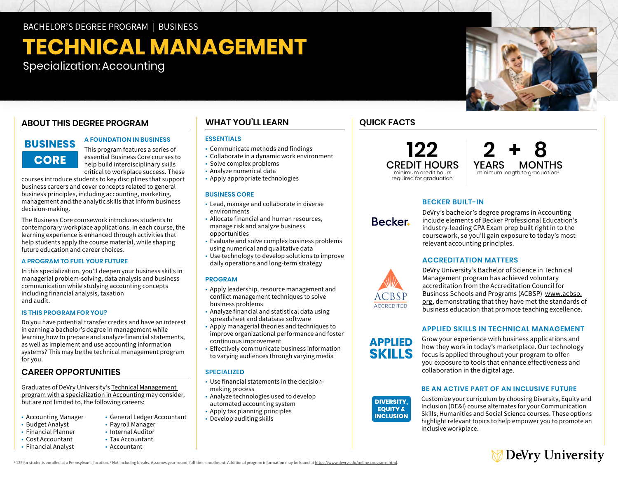# **TECHNICAL MANAGEMENT**

Specialization:Accounting

## **ABOUT THIS DEGREE PROGRAM**

## **BUSINESS CORE**

## **A FOUNDATION IN BUSINESS**

This program features a series of essential Business Core courses to help build interdisciplinary skills critical to workplace success. These

courses introduce students to key disciplines that support business careers and cover concepts related to general business principles, including accounting, marketing, management and the analytic skills that inform business decision-making.

The Business Core coursework introduces students to contemporary workplace applications. In each course, the learning experience is enhanced through activities that help students apply the course material, while shaping future education and career choices.

### **A PROGRAM TO FUEL YOUR FUTURE**

In this specialization, you'll deepen your business skills in managerial problem-solving, data analysis and business communication while studying accounting concepts including financial analysis, taxation and audit.

#### **IS THIS PROGRAM FOR YOU?**

Do you have potential transfer credits and have an interest in earning a bachelor's degree in management while learning how to prepare and analyze financial statements, as well as implement and use accounting information systems? This may be the technical management program for you.

## **CAREER OPPORTUNITIES**

Graduates of DeVry University's [Technical Management](https://www.devry.edu/online-programs/bachelors-degrees/business/accounting-specialization.html)  [program with a specialization in Accounting](https://www.devry.edu/online-programs/bachelors-degrees/business/accounting-specialization.html) may consider, but are not limited to, the following careers:

• General Ledger Accountant

• Payroll Manager

- Accounting Manager
- Budget Analyst
- Financial Planner Internal Auditor
- Cost Accountant Tax Accountant
- Financial Analyst Accountant

## **WHAT YOU'LL LEARN**

## **ESSENTIALS**

- Communicate methods and findings
- Collaborate in a dynamic work environment
- Solve complex problems
- Analyze numerical data
- Apply appropriate technologies

#### **BUSINESS CORE**

- • Lead, manage and collaborate in diverse environments
- • Allocate financial and human resources, opportunities manage risk and analyze business
- opportunities<br>• Evaluate and solve complex business problems using numerical and qualitative data
- • Use technology to develop solutions to improve daily operations and long-term strategy

#### **PROGRAM**

- • Apply leadership, resource management and conflict management techniques to solve business problems
- • Analyze financial and statistical data using spreadsheet and database software
- • Apply managerial theories and techniques to improve organizational performance and foster continuous improvement
- Effectively communicate business information
- to varying audiences through varying media

### **SPECIALIZED**

- • Use financial statements in the decisionmaking process
- • Analyze technologies used to develop automated accounting system
- Apply tax planning principles
- Develop auditing skills

## **QUICK FACTS**

**122**  CREDIT HOURS minimum credit hours required for graduation<sup>1</sup>



## **BECKER BUILT-IN**

DeVry's bachelor's degree programs in Accounting include elements of Becker Professional Education's industry-leading CPA Exam prep built right in to the coursework, so you'll gain exposure to today's most relevant accounting principles.

### **ACCREDITATION MATTERS**



**Becker** 

**DIVERSITY, EQUITY & INCLUSION** 

**APPLIED SKILLS**  DeVry University's Bachelor of Science in Technical Management program has achieved voluntary accreditation from the Accreditation Council for Business Schools and Programs (ACBSP) [www.acbsp.](http://www.acbsp.org)  [org](http://www.acbsp.org), demonstrating that they have met the standards of business education that promote teaching excellence.

## **APPLIED SKILLS IN TECHNICAL MANAGEMENT**



### **BE AN ACTIVE PART OF AN INCLUSIVE FUTURE**

Customize your curriculum by choosing Diversity, Equity and Inclusion (DE&I) course alternates for your Communication Skills, Humanities and Social Science courses. These options highlight relevant topics to help empower you to promote an inclusive workplace.

## **DeVry University**

<sup>1</sup> 125 for students enrolled at a Pennsylvania location. <sup>2</sup> Not including breaks. Assumes year-round, full-time enrollment. Additional program information may be found at [https://www.devry.edu/online-programs.html.](https://www.devry.edu/online-programs.html)